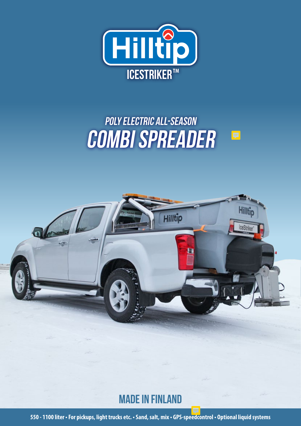

# POLY ELECTRIC ALL-SEASON Combi spreader

頁



## Made in Finland

**550 - 1100 liter • For pickups, light trucks etc. • Sand, salt, mix • GPS-speedcontrol • Optional liquid systems**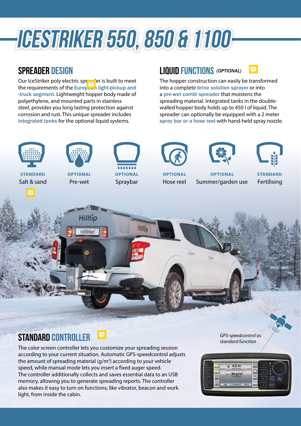# ICESTRIKER 550, 850 & 1100

#### spreader design

Our IceStriker poly electric spreader is built to meet the requirements of the European light-pickup and -truck segment. Lightweight hopper body made of polyethylene, and mounted parts in stainless steel, provides you long lasting protection against corrosion and rust. This unique spreader includes integrated tanks for the optional liquid systems.

the amount of spreading material  $(g/m^2)$  according to your vehicle speed, while manual mode lets you insert a fixed auger speed.

light, from inside the cabin.

The controller additionally collects and saves essential data to an USB memory, allowing you to generate spreading reports. The controller also makes it easy to turn on functions, like vibrator, beacon and work

#### Liquid Functions *(OPTIONAL)*

The hopper construction can easily be transformed into a complete brine solution sprayer or into a pre-wet combi spreader that moistens the spreading material. Integrated tanks in the doublewalled hopper body holds up to 450 l of liquid. The spreader can optionally be equipped with a 2 meter spray bar or a hose reel with hand-held spray nozzle.



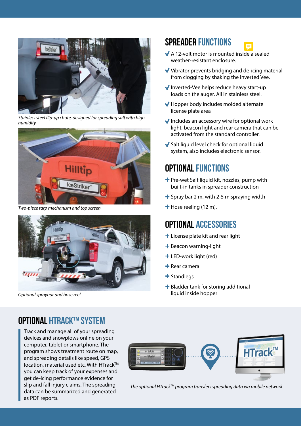

*Stainless steel flip-up chute, designed for spreading salt with high humidity*



*Two-piece tarp mechanism and top screen* **Hose reeling (12 m). + Hose reeling (12 m).** 



*Optional spraybar and hose reel*

#### Spreader functions

- A 12-volt motor is mounted inside a sealed weather-resistant enclosure.
- $\blacktriangledown$  Vibrator prevents bridging and de-icing material from clogging by shaking the inverted Vee.
- Inverted-Vee helps reduce heavy start-up loads on the auger. All in stainless steel.
- Hopper body includes molded alternate license plate area
- $\blacktriangleright$  Includes an accessory wire for optional work light, beacon light and rear camera that can be activated from the standard controller.
- $\blacktriangleright$  Salt liquid level check for optional liquid system, also includes electronic sensor.

#### Optional functions

- $\bigstar$  Pre-wet Salt liquid kit, nozzles, pump with built-in tanks in spreader construction
- $\div$  Spray bar 2 m, with 2-5 m spraying width
- 

#### Optional Accessories

- **+** License plate kit and rear light
- $+$  Beacon warning-light
- LED-work light (red)
- $+$  Rear camera
- $\bigstar$  Standlegs
- $\div$  Bladder tank for storing additional liquid inside hopper

#### Optional HTrack™ system

Track and manage all of your spreading devices and snowplows online on your computer, tablet or smartphone. The program shows treatment route on map, and spreading details like speed, GPS location, material used etc. With HTrack™ you can keep track of your expenses and get de-icing performance evidence for slip and fall injury claims. The spreading data can be summarized and generated as PDF reports.



*The optional HTrackTM program transfers spreading data via mobile network*